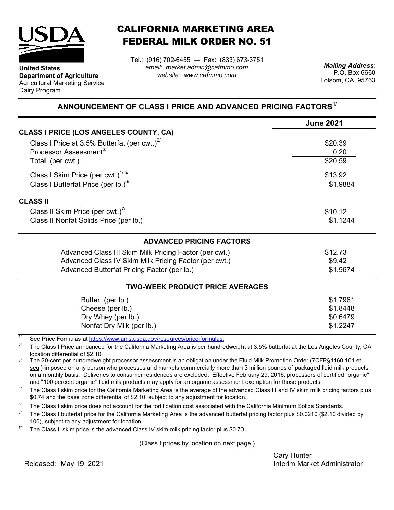

**Department of Agriculture** Agricultural Marketing Service

**United States**

Dairy Program

CALIFORNIA MARKETING AREA FEDERAL MILK ORDER NO. 51

Tel.: (916) 702-6455 — Fax: (833) 673-3751 *email: market.admin@cafmmo.com website: www.cafmmo.com*

*Mailing Address:* P.O. Box 6660 Folsom, CA 95763

## **ANNOUNCEMENT OF CLASS I PRICE AND ADVANCED PRICING FACTORS1/**

|                                                        | <b>June 2021</b> |  |  |
|--------------------------------------------------------|------------------|--|--|
| <b>CLASS I PRICE (LOS ANGELES COUNTY, CA)</b>          |                  |  |  |
| Class I Price at 3.5% Butterfat (per cwt.) $^{2/}$     | \$20.39          |  |  |
| Processor Assessment <sup>3/</sup>                     | 0.20             |  |  |
| Total (per cwt.)                                       | \$20.59          |  |  |
| Class I Skim Price (per cwt.) $4/5/$                   | \$13.92          |  |  |
| Class I Butterfat Price (per lb.) $6/$                 | \$1.9884         |  |  |
| <b>CLASS II</b>                                        |                  |  |  |
| Class II Skim Price (per cwt.)"                        | \$10.12          |  |  |
| Class II Nonfat Solids Price (per lb.)                 | \$1.1244         |  |  |
| <b>ADVANCED PRICING FACTORS</b>                        |                  |  |  |
| Advanced Class III Skim Milk Pricing Factor (per cwt.) | \$12.73          |  |  |
| Advanced Class IV Skim Milk Pricing Factor (per cwt.)  | \$9.42           |  |  |
| Advanced Butterfat Pricing Factor (per lb.)            | \$1.9674         |  |  |
| <b>TWO-WEEK PRODUCT PRICE AVERAGES</b>                 |                  |  |  |
| Butter (per lb.)                                       | \$1.7961         |  |  |
| Cheese (per lb.)                                       | \$1.8448         |  |  |
| Dry Whey (per lb.)                                     | \$0.6479         |  |  |
| Nonfat Dry Milk (per lb.)                              | \$1.2247         |  |  |

1/ [See Price Formulas at h](https://www.ams.usda.gov/resources/price-formulas)ttps://www.ams.usda.gov/resources/price-formulas.

2/ The Class I Price announced for the California Marketing Area is per hundredweight at 3.5% butterfat at the Los Angeles County, CA location differential of \$2.10.

3/ The 20-cent per hundredweight processor assessment is an obligation under the Fluid Milk Promotion Order (7CFR§1160.101 et seq.) imposed on any person who processes and markets commercially more than 3 million pounds of packaged fluid milk products on a monthly basis. Deliveries to consumer residences are excluded. Effective February 29, 2016, processors of certified "organic" and "100 percent organic" fluid milk products may apply for an organic assessment exemption for those products.

 $\Delta l$ The Class I skim price for the California Marketing Area is the average of the advanced Class III and IV skim milk pricing factors plus \$0.74 and the base zone differential of \$2.10, subject to any adjustment for location.

5/ The Class I skim price does not account for the fortification cost associated with the California Minimum Solids Standards.

 $6/$ The Class I butterfat price for the California Marketing Area is the advanced butterfat pricing factor plus \$0.0210 (\$2.10 divided by 100), subject to any adjustment for location.

7/ The Class II skim price is the advanced Class IV skim milk pricing factor plus \$0.70.

(Class I prices by location on next page.)

Cary Hunter Interim Market Administrator

Released: May 19, 2021